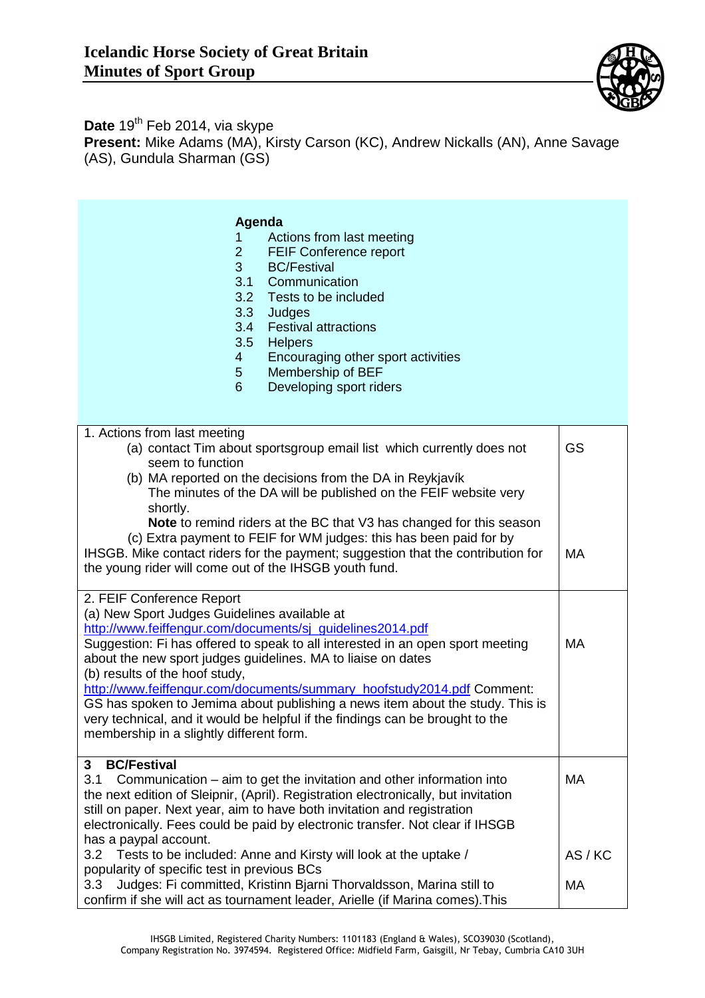

Date 19<sup>th</sup> Feb 2014, via skype **Present:** Mike Adams (MA), Kirsty Carson (KC), Andrew Nickalls (AN), Anne Savage (AS), Gundula Sharman (GS)

| Agenda<br>1.<br>$\overline{2}$<br>3<br>3.1<br>3.2<br>3.3<br>3.4<br>3.5<br>4<br>5<br>6                                                                       | Actions from last meeting<br><b>FEIF Conference report</b><br><b>BC/Festival</b><br>Communication<br>Tests to be included<br>Judges<br><b>Festival attractions</b><br><b>Helpers</b><br>Encouraging other sport activities<br>Membership of BEF<br>Developing sport riders |    |  |
|-------------------------------------------------------------------------------------------------------------------------------------------------------------|----------------------------------------------------------------------------------------------------------------------------------------------------------------------------------------------------------------------------------------------------------------------------|----|--|
| 1. Actions from last meeting                                                                                                                                |                                                                                                                                                                                                                                                                            |    |  |
| (a) contact Tim about sportsgroup email list which currently does not                                                                                       |                                                                                                                                                                                                                                                                            | GS |  |
| seem to function                                                                                                                                            |                                                                                                                                                                                                                                                                            |    |  |
| (b) MA reported on the decisions from the DA in Reykjavík<br>The minutes of the DA will be published on the FEIF website very                               |                                                                                                                                                                                                                                                                            |    |  |
| shortly.                                                                                                                                                    |                                                                                                                                                                                                                                                                            |    |  |
| Note to remind riders at the BC that V3 has changed for this season                                                                                         |                                                                                                                                                                                                                                                                            |    |  |
| (c) Extra payment to FEIF for WM judges: this has been paid for by<br>IHSGB. Mike contact riders for the payment; suggestion that the contribution for      |                                                                                                                                                                                                                                                                            |    |  |
| the young rider will come out of the IHSGB youth fund.                                                                                                      |                                                                                                                                                                                                                                                                            |    |  |
| 2. FEIF Conference Report                                                                                                                                   |                                                                                                                                                                                                                                                                            |    |  |
| (a) New Sport Judges Guidelines available at                                                                                                                |                                                                                                                                                                                                                                                                            |    |  |
| http://www.feiffengur.com/documents/sj_guidelines2014.pdf                                                                                                   |                                                                                                                                                                                                                                                                            |    |  |
| Suggestion: Fi has offered to speak to all interested in an open sport meeting<br>МA                                                                        |                                                                                                                                                                                                                                                                            |    |  |
| about the new sport judges guidelines. MA to liaise on dates<br>(b) results of the hoof study,                                                              |                                                                                                                                                                                                                                                                            |    |  |
| http://www.feiffengur.com/documents/summary_hoofstudy2014.pdf Comment:                                                                                      |                                                                                                                                                                                                                                                                            |    |  |
| GS has spoken to Jemima about publishing a news item about the study. This is                                                                               |                                                                                                                                                                                                                                                                            |    |  |
| very technical, and it would be helpful if the findings can be brought to the<br>membership in a slightly different form.                                   |                                                                                                                                                                                                                                                                            |    |  |
|                                                                                                                                                             |                                                                                                                                                                                                                                                                            |    |  |
| <b>BC/Festival</b><br>3<br>МA<br>3.1                                                                                                                        |                                                                                                                                                                                                                                                                            |    |  |
| Communication – aim to get the invitation and other information into<br>the next edition of Sleipnir, (April). Registration electronically, but invitation  |                                                                                                                                                                                                                                                                            |    |  |
| still on paper. Next year, aim to have both invitation and registration                                                                                     |                                                                                                                                                                                                                                                                            |    |  |
| electronically. Fees could be paid by electronic transfer. Not clear if IHSGB                                                                               |                                                                                                                                                                                                                                                                            |    |  |
| has a paypal account.<br>3.2 Tests to be included: Anne and Kirsty will look at the uptake /                                                                |                                                                                                                                                                                                                                                                            |    |  |
| popularity of specific test in previous BCs                                                                                                                 |                                                                                                                                                                                                                                                                            |    |  |
| Judges: Fi committed, Kristinn Bjarni Thorvaldsson, Marina still to<br>3.3<br>confirm if she will act as tournament leader, Arielle (if Marina comes). This |                                                                                                                                                                                                                                                                            |    |  |